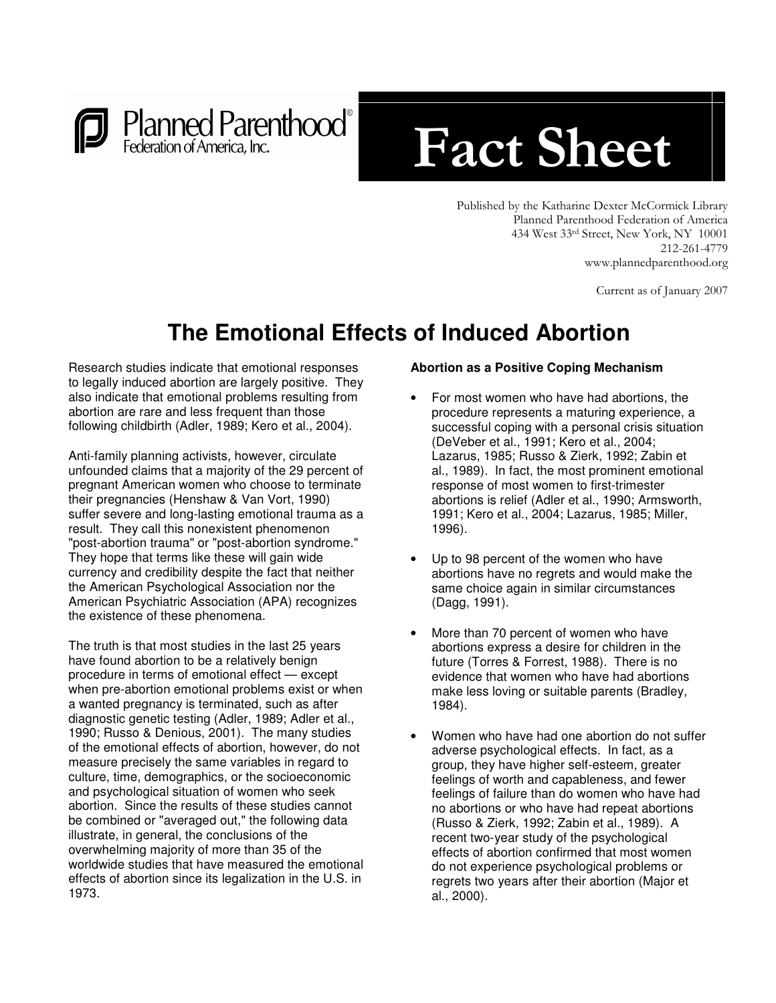

# **Fact Sheet**

Published by the Katharine Dexter McCormick Library Planned Parenthood Federation of America 434 West 33rd Street, New York, NY 10001 212-261-4779 www.plannedparenthood.org

Current as of January 2007

## **The Emotional Effects of Induced Abortion**

Research studies indicate that emotional responses to legally induced abortion are largely positive. They also indicate that emotional problems resulting from abortion are rare and less frequent than those following childbirth (Adler, 1989; Kero et al., 2004).

Anti-family planning activists, however, circulate unfounded claims that a majority of the 29 percent of pregnant American women who choose to terminate their pregnancies (Henshaw & Van Vort, 1990) suffer severe and long-lasting emotional trauma as a result. They call this nonexistent phenomenon "post-abortion trauma" or "post-abortion syndrome." They hope that terms like these will gain wide currency and credibility despite the fact that neither the American Psychological Association nor the American Psychiatric Association (APA) recognizes the existence of these phenomena.

The truth is that most studies in the last 25 years have found abortion to be a relatively benign procedure in terms of emotional effect — except when pre-abortion emotional problems exist or when a wanted pregnancy is terminated, such as after diagnostic genetic testing (Adler, 1989; Adler et al., 1990; Russo & Denious, 2001). The many studies of the emotional effects of abortion, however, do not measure precisely the same variables in regard to culture, time, demographics, or the socioeconomic and psychological situation of women who seek abortion. Since the results of these studies cannot be combined or "averaged out," the following data illustrate, in general, the conclusions of the overwhelming majority of more than 35 of the worldwide studies that have measured the emotional effects of abortion since its legalization in the U.S. in 1973.

#### **Abortion as a Positive Coping Mechanism**

- For most women who have had abortions, the procedure represents a maturing experience, a successful coping with a personal crisis situation (DeVeber et al., 1991; Kero et al., 2004; Lazarus, 1985; Russo & Zierk, 1992; Zabin et al., 1989). In fact, the most prominent emotional response of most women to first-trimester abortions is relief (Adler et al., 1990; Armsworth, 1991; Kero et al., 2004; Lazarus, 1985; Miller, 1996).
- Up to 98 percent of the women who have abortions have no regrets and would make the same choice again in similar circumstances (Dagg, 1991).
- More than 70 percent of women who have abortions express a desire for children in the future (Torres & Forrest, 1988). There is no evidence that women who have had abortions make less loving or suitable parents (Bradley, 1984).
- Women who have had one abortion do not suffer adverse psychological effects. In fact, as a group, they have higher self-esteem, greater feelings of worth and capableness, and fewer feelings of failure than do women who have had no abortions or who have had repeat abortions (Russo & Zierk, 1992; Zabin et al., 1989). A recent two-year study of the psychological effects of abortion confirmed that most women do not experience psychological problems or regrets two years after their abortion (Major et al., 2000).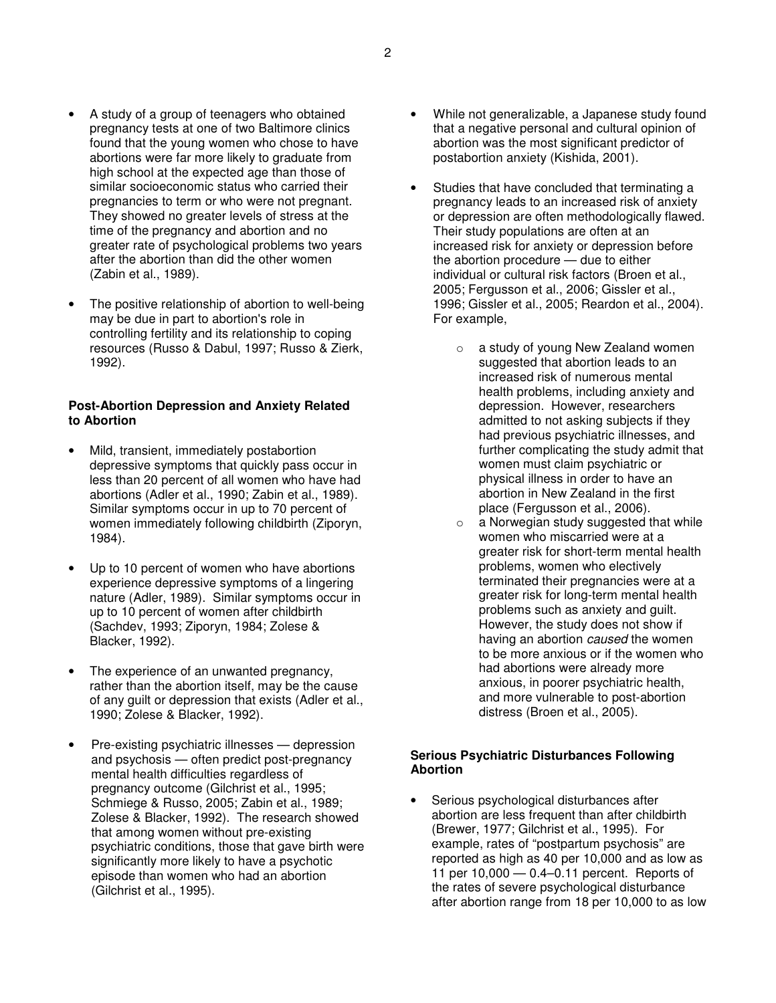- A study of a group of teenagers who obtained pregnancy tests at one of two Baltimore clinics found that the young women who chose to have abortions were far more likely to graduate from high school at the expected age than those of similar socioeconomic status who carried their pregnancies to term or who were not pregnant. They showed no greater levels of stress at the time of the pregnancy and abortion and no greater rate of psychological problems two years after the abortion than did the other women (Zabin et al., 1989).
- The positive relationship of abortion to well-being may be due in part to abortion's role in controlling fertility and its relationship to coping resources (Russo & Dabul, 1997; Russo & Zierk, 1992).

#### **Post-Abortion Depression and Anxiety Related to Abortion**

- Mild, transient, immediately postabortion depressive symptoms that quickly pass occur in less than 20 percent of all women who have had abortions (Adler et al., 1990; Zabin et al., 1989). Similar symptoms occur in up to 70 percent of women immediately following childbirth (Ziporyn, 1984).
- Up to 10 percent of women who have abortions experience depressive symptoms of a lingering nature (Adler, 1989). Similar symptoms occur in up to 10 percent of women after childbirth (Sachdev, 1993; Ziporyn, 1984; Zolese & Blacker, 1992).
- The experience of an unwanted pregnancy, rather than the abortion itself, may be the cause of any guilt or depression that exists (Adler et al., 1990; Zolese & Blacker, 1992).
- Pre-existing psychiatric illnesses depression and psychosis — often predict post-pregnancy mental health difficulties regardless of pregnancy outcome (Gilchrist et al., 1995; Schmiege & Russo, 2005; Zabin et al., 1989; Zolese & Blacker, 1992). The research showed that among women without pre-existing psychiatric conditions, those that gave birth were significantly more likely to have a psychotic episode than women who had an abortion (Gilchrist et al., 1995).
- While not generalizable, a Japanese study found that a negative personal and cultural opinion of abortion was the most significant predictor of postabortion anxiety (Kishida, 2001).
- Studies that have concluded that terminating a pregnancy leads to an increased risk of anxiety or depression are often methodologically flawed. Their study populations are often at an increased risk for anxiety or depression before the abortion procedure — due to either individual or cultural risk factors (Broen et al., 2005; Fergusson et al., 2006; Gissler et al., 1996; Gissler et al., 2005; Reardon et al., 2004). For example,
	- o a study of young New Zealand women suggested that abortion leads to an increased risk of numerous mental health problems, including anxiety and depression. However, researchers admitted to not asking subjects if they had previous psychiatric illnesses, and further complicating the study admit that women must claim psychiatric or physical illness in order to have an abortion in New Zealand in the first place (Fergusson et al., 2006).
	- o a Norwegian study suggested that while women who miscarried were at a greater risk for short-term mental health problems, women who electively terminated their pregnancies were at a greater risk for long-term mental health problems such as anxiety and guilt. However, the study does not show if having an abortion *caused* the women to be more anxious or if the women who had abortions were already more anxious, in poorer psychiatric health, and more vulnerable to post-abortion distress (Broen et al., 2005).

#### **Serious Psychiatric Disturbances Following Abortion**

Serious psychological disturbances after abortion are less frequent than after childbirth (Brewer, 1977; Gilchrist et al., 1995). For example, rates of "postpartum psychosis" are reported as high as 40 per 10,000 and as low as 11 per 10,000 — 0.4–0.11 percent. Reports of the rates of severe psychological disturbance after abortion range from 18 per 10,000 to as low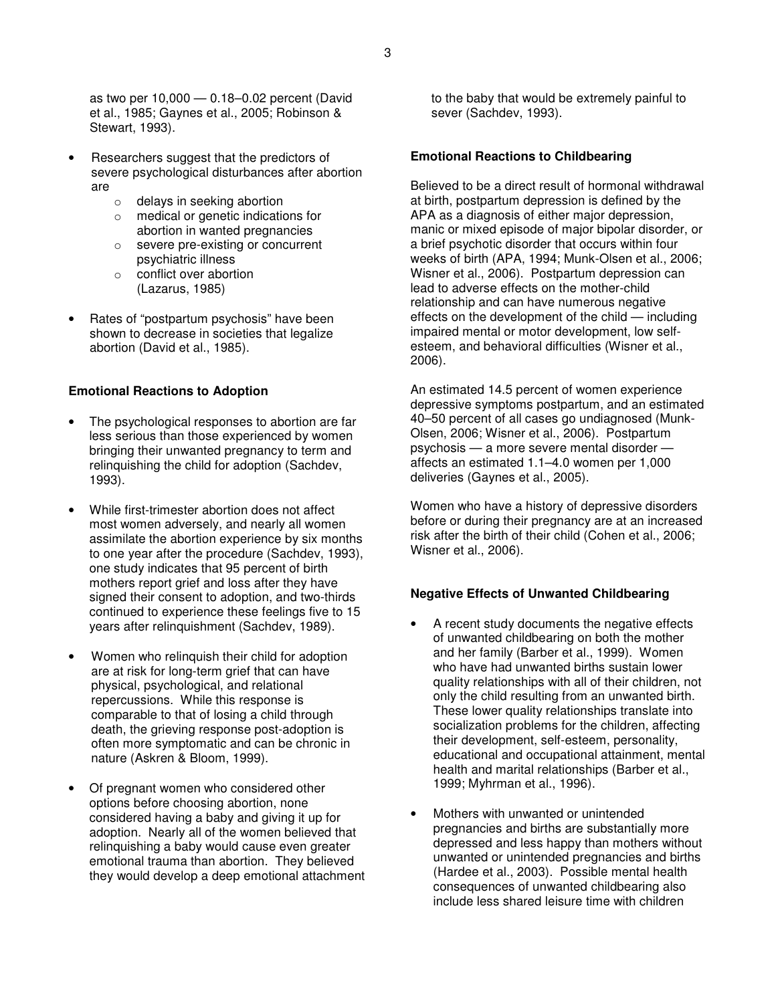as two per 10,000 — 0.18–0.02 percent (David et al., 1985; Gaynes et al., 2005; Robinson & Stewart, 1993).

- Researchers suggest that the predictors of severe psychological disturbances after abortion are
	- o delays in seeking abortion
	- o medical or genetic indications for abortion in wanted pregnancies
	- o severe pre-existing or concurrent psychiatric illness
	- o conflict over abortion (Lazarus, 1985)
- Rates of "postpartum psychosis" have been shown to decrease in societies that legalize abortion (David et al., 1985).

#### **Emotional Reactions to Adoption**

- The psychological responses to abortion are far less serious than those experienced by women bringing their unwanted pregnancy to term and relinquishing the child for adoption (Sachdev, 1993).
- While first-trimester abortion does not affect most women adversely, and nearly all women assimilate the abortion experience by six months to one year after the procedure (Sachdev, 1993), one study indicates that 95 percent of birth mothers report grief and loss after they have signed their consent to adoption, and two-thirds continued to experience these feelings five to 15 years after relinquishment (Sachdev, 1989).
- Women who relinquish their child for adoption are at risk for long-term grief that can have physical, psychological, and relational repercussions. While this response is comparable to that of losing a child through death, the grieving response post-adoption is often more symptomatic and can be chronic in nature (Askren & Bloom, 1999).
- Of pregnant women who considered other options before choosing abortion, none considered having a baby and giving it up for adoption. Nearly all of the women believed that relinquishing a baby would cause even greater emotional trauma than abortion. They believed they would develop a deep emotional attachment

to the baby that would be extremely painful to sever (Sachdev, 1993).

#### **Emotional Reactions to Childbearing**

Believed to be a direct result of hormonal withdrawal at birth, postpartum depression is defined by the APA as a diagnosis of either major depression, manic or mixed episode of major bipolar disorder, or a brief psychotic disorder that occurs within four weeks of birth (APA, 1994; Munk-Olsen et al., 2006; Wisner et al., 2006). Postpartum depression can lead to adverse effects on the mother-child relationship and can have numerous negative effects on the development of the child — including impaired mental or motor development, low selfesteem, and behavioral difficulties (Wisner et al., 2006).

An estimated 14.5 percent of women experience depressive symptoms postpartum, and an estimated 40–50 percent of all cases go undiagnosed (Munk-Olsen, 2006; Wisner et al., 2006). Postpartum psychosis — a more severe mental disorder affects an estimated 1.1–4.0 women per 1,000 deliveries (Gaynes et al., 2005).

Women who have a history of depressive disorders before or during their pregnancy are at an increased risk after the birth of their child (Cohen et al., 2006; Wisner et al., 2006).

#### **Negative Effects of Unwanted Childbearing**

- A recent study documents the negative effects of unwanted childbearing on both the mother and her family (Barber et al., 1999). Women who have had unwanted births sustain lower quality relationships with all of their children, not only the child resulting from an unwanted birth. These lower quality relationships translate into socialization problems for the children, affecting their development, self-esteem, personality, educational and occupational attainment, mental health and marital relationships (Barber et al., 1999; Myhrman et al., 1996).
- Mothers with unwanted or unintended pregnancies and births are substantially more depressed and less happy than mothers without unwanted or unintended pregnancies and births (Hardee et al., 2003). Possible mental health consequences of unwanted childbearing also include less shared leisure time with children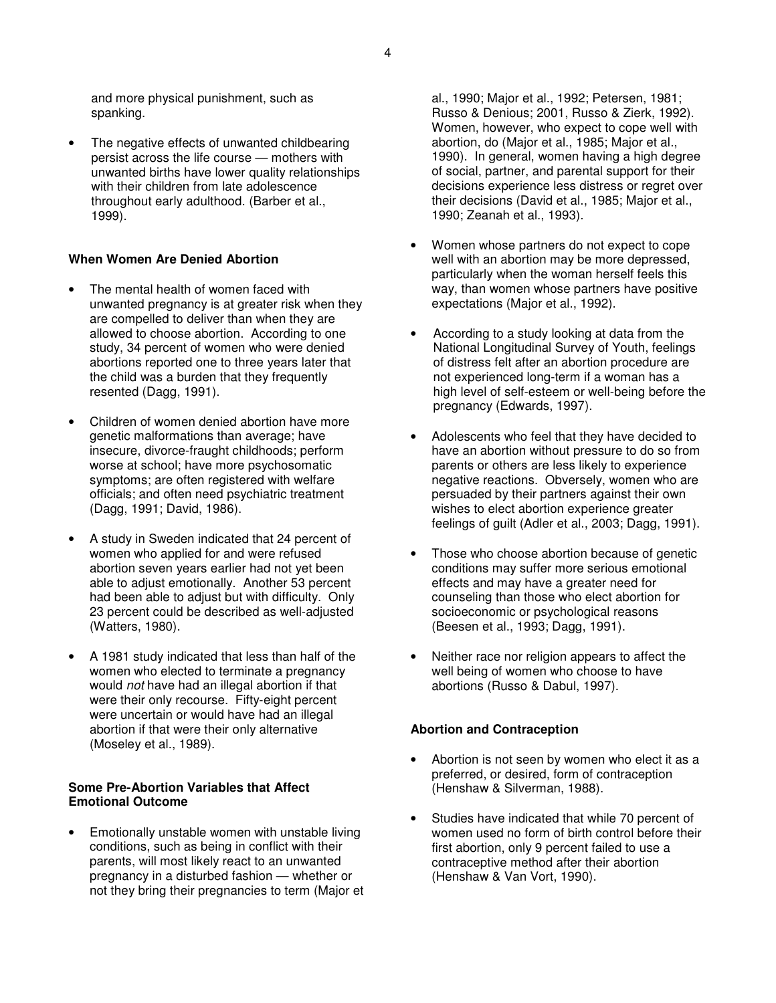and more physical punishment, such as spanking.

The negative effects of unwanted childbearing persist across the life course — mothers with unwanted births have lower quality relationships with their children from late adolescence throughout early adulthood. (Barber et al., 1999).

#### **When Women Are Denied Abortion**

- The mental health of women faced with unwanted pregnancy is at greater risk when they are compelled to deliver than when they are allowed to choose abortion. According to one study, 34 percent of women who were denied abortions reported one to three years later that the child was a burden that they frequently resented (Dagg, 1991).
- Children of women denied abortion have more genetic malformations than average; have insecure, divorce-fraught childhoods; perform worse at school; have more psychosomatic symptoms; are often registered with welfare officials; and often need psychiatric treatment (Dagg, 1991; David, 1986).
- A study in Sweden indicated that 24 percent of women who applied for and were refused abortion seven years earlier had not yet been able to adjust emotionally. Another 53 percent had been able to adjust but with difficulty. Only 23 percent could be described as well-adjusted (Watters, 1980).
- A 1981 study indicated that less than half of the women who elected to terminate a pregnancy would *not* have had an illegal abortion if that were their only recourse. Fifty-eight percent were uncertain or would have had an illegal abortion if that were their only alternative (Moseley et al., 1989).

#### **Some Pre-Abortion Variables that Affect Emotional Outcome**

• Emotionally unstable women with unstable living conditions, such as being in conflict with their parents, will most likely react to an unwanted pregnancy in a disturbed fashion — whether or not they bring their pregnancies to term (Major et al., 1990; Major et al., 1992; Petersen, 1981; Russo & Denious; 2001, Russo & Zierk, 1992). Women, however, who expect to cope well with abortion, do (Major et al., 1985; Major et al., 1990). In general, women having a high degree of social, partner, and parental support for their decisions experience less distress or regret over their decisions (David et al., 1985; Major et al., 1990; Zeanah et al., 1993).

- Women whose partners do not expect to cope well with an abortion may be more depressed, particularly when the woman herself feels this way, than women whose partners have positive expectations (Major et al., 1992).
- According to a study looking at data from the National Longitudinal Survey of Youth, feelings of distress felt after an abortion procedure are not experienced long-term if a woman has a high level of self-esteem or well-being before the pregnancy (Edwards, 1997).
- Adolescents who feel that they have decided to have an abortion without pressure to do so from parents or others are less likely to experience negative reactions. Obversely, women who are persuaded by their partners against their own wishes to elect abortion experience greater feelings of guilt (Adler et al., 2003; Dagg, 1991).
- Those who choose abortion because of genetic conditions may suffer more serious emotional effects and may have a greater need for counseling than those who elect abortion for socioeconomic or psychological reasons (Beesen et al., 1993; Dagg, 1991).
- Neither race nor religion appears to affect the well being of women who choose to have abortions (Russo & Dabul, 1997).

#### **Abortion and Contraception**

- Abortion is not seen by women who elect it as a preferred, or desired, form of contraception (Henshaw & Silverman, 1988).
- Studies have indicated that while 70 percent of women used no form of birth control before their first abortion, only 9 percent failed to use a contraceptive method after their abortion (Henshaw & Van Vort, 1990).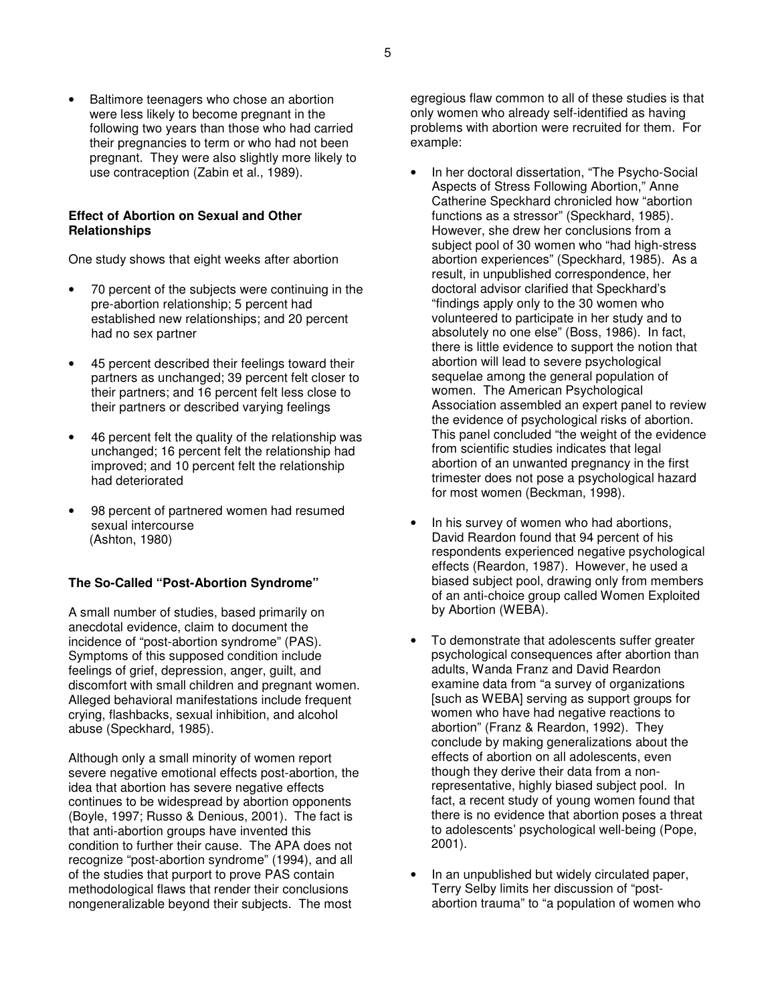• Baltimore teenagers who chose an abortion were less likely to become pregnant in the following two years than those who had carried their pregnancies to term or who had not been pregnant. They were also slightly more likely to use contraception (Zabin et al., 1989).

#### **Effect of Abortion on Sexual and Other Relationships**

One study shows that eight weeks after abortion

- 70 percent of the subjects were continuing in the pre-abortion relationship; 5 percent had established new relationships; and 20 percent had no sex partner
- 45 percent described their feelings toward their partners as unchanged; 39 percent felt closer to their partners; and 16 percent felt less close to their partners or described varying feelings
- 46 percent felt the quality of the relationship was unchanged; 16 percent felt the relationship had improved; and 10 percent felt the relationship had deteriorated
- 98 percent of partnered women had resumed sexual intercourse (Ashton, 1980)

### **The So-Called "Post-Abortion Syndrome"**

A small number of studies, based primarily on anecdotal evidence, claim to document the incidence of "post-abortion syndrome" (PAS). Symptoms of this supposed condition include feelings of grief, depression, anger, guilt, and discomfort with small children and pregnant women. Alleged behavioral manifestations include frequent crying, flashbacks, sexual inhibition, and alcohol abuse (Speckhard, 1985).

Although only a small minority of women report severe negative emotional effects post-abortion, the idea that abortion has severe negative effects continues to be widespread by abortion opponents (Boyle, 1997; Russo & Denious, 2001). The fact is that anti-abortion groups have invented this condition to further their cause. The APA does not recognize "post-abortion syndrome" (1994), and all of the studies that purport to prove PAS contain methodological flaws that render their conclusions nongeneralizable beyond their subjects. The most

egregious flaw common to all of these studies is that only women who already self-identified as having problems with abortion were recruited for them. For example:

- In her doctoral dissertation, "The Psycho-Social Aspects of Stress Following Abortion," Anne Catherine Speckhard chronicled how "abortion functions as a stressor" (Speckhard, 1985). However, she drew her conclusions from a subject pool of 30 women who "had high-stress abortion experiences" (Speckhard, 1985). As a result, in unpublished correspondence, her doctoral advisor clarified that Speckhard's "findings apply only to the 30 women who volunteered to participate in her study and to absolutely no one else" (Boss, 1986). In fact, there is little evidence to support the notion that abortion will lead to severe psychological sequelae among the general population of women. The American Psychological Association assembled an expert panel to review the evidence of psychological risks of abortion. This panel concluded "the weight of the evidence from scientific studies indicates that legal abortion of an unwanted pregnancy in the first trimester does not pose a psychological hazard for most women (Beckman, 1998).
- In his survey of women who had abortions, David Reardon found that 94 percent of his respondents experienced negative psychological effects (Reardon, 1987). However, he used a biased subject pool, drawing only from members of an anti-choice group called Women Exploited by Abortion (WEBA).
- To demonstrate that adolescents suffer greater psychological consequences after abortion than adults, Wanda Franz and David Reardon examine data from "a survey of organizations [such as WEBA] serving as support groups for women who have had negative reactions to abortion" (Franz & Reardon, 1992). They conclude by making generalizations about the effects of abortion on all adolescents, even though they derive their data from a nonrepresentative, highly biased subject pool. In fact, a recent study of young women found that there is no evidence that abortion poses a threat to adolescents' psychological well-being (Pope, 2001).
- In an unpublished but widely circulated paper, Terry Selby limits her discussion of "postabortion trauma" to "a population of women who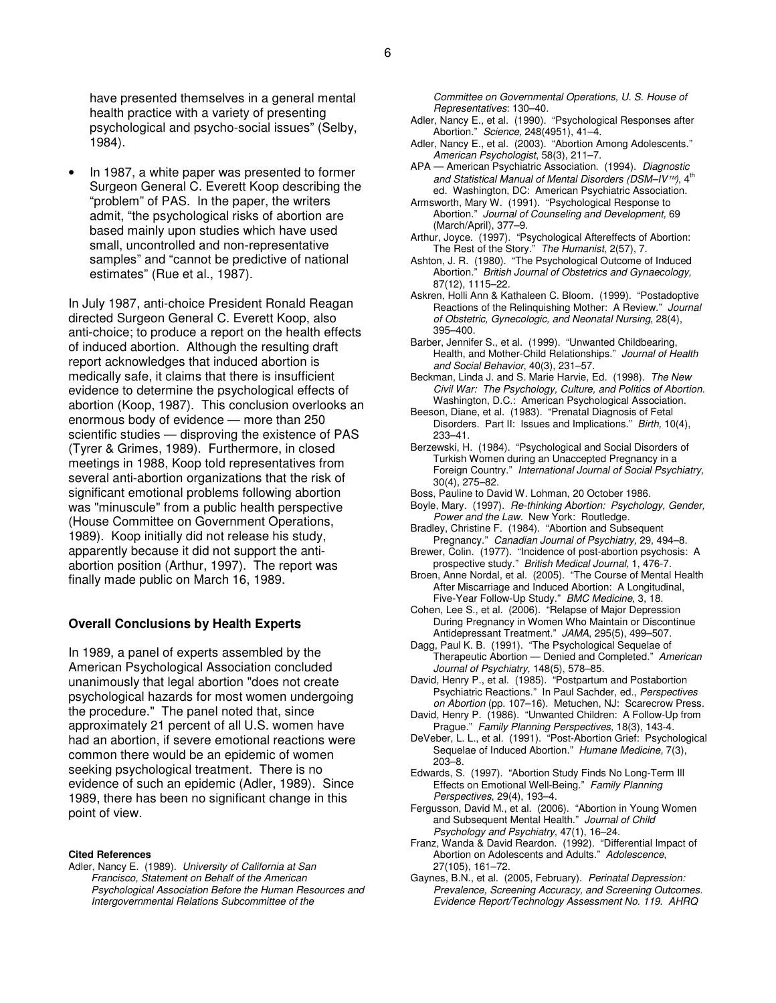have presented themselves in a general mental health practice with a variety of presenting psychological and psycho-social issues" (Selby, 1984).

• In 1987, a white paper was presented to former Surgeon General C. Everett Koop describing the "problem" of PAS. In the paper, the writers admit, "the psychological risks of abortion are based mainly upon studies which have used small, uncontrolled and non-representative samples" and "cannot be predictive of national estimates" (Rue et al., 1987).

In July 1987, anti-choice President Ronald Reagan directed Surgeon General C. Everett Koop, also anti-choice; to produce a report on the health effects of induced abortion. Although the resulting draft report acknowledges that induced abortion is medically safe, it claims that there is insufficient evidence to determine the psychological effects of abortion (Koop, 1987). This conclusion overlooks an enormous body of evidence — more than 250 scientific studies — disproving the existence of PAS (Tyrer & Grimes, 1989). Furthermore, in closed meetings in 1988, Koop told representatives from several anti-abortion organizations that the risk of significant emotional problems following abortion was "minuscule" from a public health perspective (House Committee on Government Operations, 1989). Koop initially did not release his study, apparently because it did not support the antiabortion position (Arthur, 1997). The report was finally made public on March 16, 1989.

#### **Overall Conclusions by Health Experts**

In 1989, a panel of experts assembled by the American Psychological Association concluded unanimously that legal abortion "does not create psychological hazards for most women undergoing the procedure." The panel noted that, since approximately 21 percent of all U.S. women have had an abortion, if severe emotional reactions were common there would be an epidemic of women seeking psychological treatment. There is no evidence of such an epidemic (Adler, 1989). Since 1989, there has been no significant change in this point of view.

#### **Cited References**

Adler, Nancy E. (1989). *University of California at San Francisco, Statement on Behalf of the American Psychological Association Before the Human Resources and Intergovernmental Relations Subcommittee of the*

*Committee on Governmental Operations, U. S. House of Representatives*: 130–40.

- Adler, Nancy E., et al. (1990). "Psychological Responses after Abortion." *Science,* 248(4951), 41–4.
- Adler, Nancy E., et al. (2003). "Abortion Among Adolescents." *American Psychologist*, 58(3), 211–7.
- APA American Psychiatric Association. (1994). *Diagnostic and Statistical Manual of Mental Disorders (DSM–IV)*, 4 th ed. Washington, DC: American Psychiatric Association.
- Armsworth, Mary W. (1991). "Psychological Response to Abortion." *Journal of Counseling and Development,* 69 (March/April), 377–9.
- Arthur, Joyce. (1997). "Psychological Aftereffects of Abortion: The Rest of the Story." *The Humanist*, 2(57), 7.
- Ashton, J. R. (1980). "The Psychological Outcome of Induced Abortion." *British Journal of Obstetrics and Gynaecology,* 87(12), 1115–22.
- Askren, Holli Ann & Kathaleen C. Bloom. (1999). "Postadoptive Reactions of the Relinquishing Mother: A Review." *Journal of Obstetric, Gynecologic, and Neonatal Nursing*, 28(4), 395–400.
- Barber, Jennifer S., et al. (1999). "Unwanted Childbearing, Health, and Mother-Child Relationships." *Journal of Health and Social Behavior*, 40(3), 231–57.
- Beckman, Linda J. and S. Marie Harvie, Ed. (1998). *The New Civil War: The Psychology, Culture, and Politics of Abortion.* Washington, D.C.: American Psychological Association.
- Beeson, Diane, et al. (1983). "Prenatal Diagnosis of Fetal Disorders. Part II: Issues and Implications." *Birth,* 10(4), 233–41.
- Berzewski, H. (1984). "Psychological and Social Disorders of Turkish Women during an Unaccepted Pregnancy in a Foreign Country." *International Journal of Social Psychiatry,* 30(4), 275–82.
- Boss, Pauline to David W. Lohman, 20 October 1986.
- Boyle, Mary. (1997). *Re-thinking Abortion: Psychology, Gender, Power and the Law.* New York: Routledge.
- Bradley, Christine F. (1984). "Abortion and Subsequent Pregnancy." *Canadian Journal of Psychiatry,* 29, 494–8. Brewer, Colin. (1977). "Incidence of post-abortion psychosis: A
- prospective study." *British Medical Journal,* 1, 476-7. Broen, Anne Nordal, et al. (2005). "The Course of Mental Health
- After Miscarriage and Induced Abortion: A Longitudinal, Five-Year Follow-Up Study." *BMC Medicine*, 3, 18.
- Cohen, Lee S., et al. (2006). "Relapse of Major Depression During Pregnancy in Women Who Maintain or Discontinue Antidepressant Treatment." *JAMA*, 295(5), 499–507.
- Dagg, Paul K. B. (1991). "The Psychological Sequelae of Therapeutic Abortion — Denied and Completed." *American Journal of Psychiatry,* 148(5), 578–85.
- David, Henry P., et al. (1985). "Postpartum and Postabortion Psychiatric Reactions." In Paul Sachder, ed., *Perspectives on Abortion* (pp. 107–16). Metuchen, NJ: Scarecrow Press.
- David, Henry P. (1986). "Unwanted Children: A Follow-Up from Prague." *Family Planning Perspectives,* 18(3), 143-4.
- DeVeber, L. L., et al. (1991). "Post-Abortion Grief: Psychological Sequelae of Induced Abortion." *Humane Medicine,* 7(3), 203–8.
- Edwards, S. (1997). "Abortion Study Finds No Long-Term Ill Effects on Emotional Well-Being." *Family Planning Perspectives*, 29(4), 193–4.
- Fergusson, David M., et al. (2006). "Abortion in Young Women and Subsequent Mental Health." *Journal of Child Psychology and Psychiatry*, 47(1), 16–24.
- Franz, Wanda & David Reardon. (1992). "Differential Impact of Abortion on Adolescents and Adults." *Adolescence*, 27(105), 161–72.
- Gaynes, B.N., et al. (2005, February). *Perinatal Depression: Prevalence, Screening Accuracy, and Screening Outcomes. Evidence Report/Technology Assessment No. 119. AHRQ*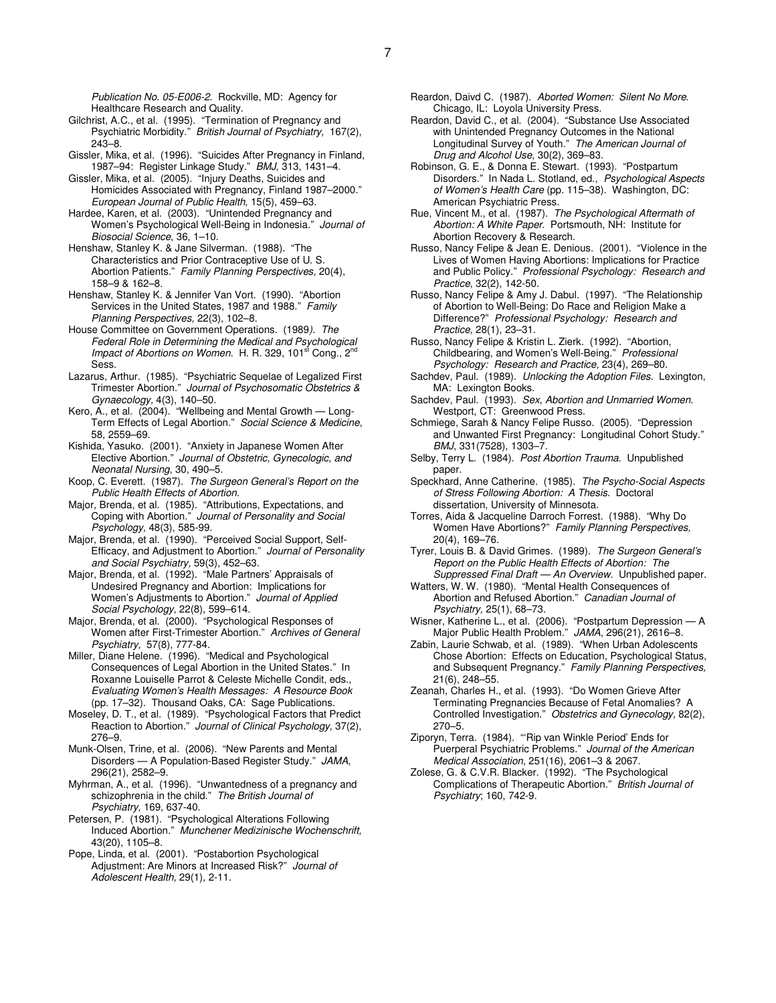*Publication No. 05-E006-2*. Rockville, MD: Agency for Healthcare Research and Quality.

Gilchrist, A.C., et al. (1995). "Termination of Pregnancy and Psychiatric Morbidity." *British Journal of Psychiatry,* 167(2), 243–8.

Gissler, Mika, et al. (1996). "Suicides After Pregnancy in Finland, 1987–94: Register Linkage Study." *BMJ*, 313, 1431–4.

Gissler, Mika, et al. (2005). "Injury Deaths, Suicides and Homicides Associated with Pregnancy, Finland 1987–2000." *European Journal of Public Health*, 15(5), 459–63.

- Hardee, Karen, et al. (2003). "Unintended Pregnancy and Women's Psychological Well-Being in Indonesia." *Journal of Biosocial Science*, 36, 1–10.
- Henshaw, Stanley K. & Jane Silverman. (1988). "The Characteristics and Prior Contraceptive Use of U. S. Abortion Patients." *Family Planning Perspectives,* 20(4), 158–9 & 162–8.
- Henshaw, Stanley K. & Jennifer Van Vort. (1990). "Abortion Services in the United States, 1987 and 1988." *Family Planning Perspectives,* 22(3), 102–8.
- House Committee on Government Operations. (1989*). The Federal Role in Determining the Medical and Psychological* Impact of Abortions on Women. H. R. 329, 101<sup>st</sup> Cong., 2<sup>nd</sup> Sess.
- Lazarus, Arthur. (1985). "Psychiatric Sequelae of Legalized First Trimester Abortion." *Journal of Psychosomatic Obstetrics & Gynaecology,* 4(3), 140–50.
- Kero, A., et al. (2004). "Wellbeing and Mental Growth Long-Term Effects of Legal Abortion." *Social Science & Medicine*, 58, 2559–69.
- Kishida, Yasuko. (2001). "Anxiety in Japanese Women After Elective Abortion." *Journal of Obstetric, Gynecologic, and Neonatal Nursing*, 30, 490–5.
- Koop, C. Everett. (1987). *The Surgeon General's Report on the Public Health Effects of Abortion*.
- Major, Brenda, et al. (1985). "Attributions, Expectations, and Coping with Abortion." *Journal of Personality and Social Psychology,* 48(3), 585-99.
- Major, Brenda, et al. (1990). "Perceived Social Support, Self-Efficacy, and Adjustment to Abortion." *Journal of Personality and Social Psychiatry,* 59(3), 452–63.
- Major, Brenda, et al. (1992). "Male Partners' Appraisals of Undesired Pregnancy and Abortion: Implications for Women's Adjustments to Abortion." *Journal of Applied Social Psychology,* 22(8), 599–614.
- Major, Brenda, et al. (2000). "Psychological Responses of Women after First-Trimester Abortion." *Archives of General Psychiatry,* 57(8), 777-84.
- Miller, Diane Helene. (1996). "Medical and Psychological Consequences of Legal Abortion in the United States." In Roxanne Louiselle Parrot & Celeste Michelle Condit, eds., *Evaluating Women's Health Messages: A Resource Book* (pp. 17–32). Thousand Oaks, CA: Sage Publications.
- Moseley, D. T., et al. (1989). "Psychological Factors that Predict Reaction to Abortion." *Journal of Clinical Psychology,* 37(2), 276–9.
- Munk-Olsen, Trine, et al. (2006). "New Parents and Mental Disorders — A Population-Based Register Study." *JAMA*, 296(21), 2582–9.
- Myhrman, A., et al. (1996). "Unwantedness of a pregnancy and schizophrenia in the child." *The British Journal of Psychiatry,* 169, 637-40.
- Petersen, P. (1981). "Psychological Alterations Following Induced Abortion." *Munchener Medizinische Wochenschrift,* 43(20), 1105–8.
- Pope, Linda, et al. (2001). "Postabortion Psychological Adjustment: Are Minors at Increased Risk?" *Journal of Adolescent Health,* 29(1), 2-11.
- Reardon, Daivd C. (1987). *Aborted Women: Silent No More*. Chicago, IL: Loyola University Press.
- Reardon, David C., et al. (2004). "Substance Use Associated with Unintended Pregnancy Outcomes in the National Longitudinal Survey of Youth." *The American Journal of Drug and Alcohol Use*, 30(2), 369–83.
- Robinson, G. E., & Donna E. Stewart. (1993). "Postpartum Disorders." In Nada L. Stotland, ed., *Psychological Aspects of Women's Health Care* (pp. 115–38). Washington, DC: American Psychiatric Press.
- Rue, Vincent M., et al. (1987). *The Psychological Aftermath of Abortion: A White Paper*. Portsmouth, NH: Institute for Abortion Recovery & Research.
- Russo, Nancy Felipe & Jean E. Denious. (2001). "Violence in the Lives of Women Having Abortions: Implications for Practice and Public Policy." *Professional Psychology: Research and Practice*, 32(2), 142-50.
- Russo, Nancy Felipe & Amy J. Dabul. (1997). "The Relationship of Abortion to Well-Being: Do Race and Religion Make a Difference?" *Professional Psychology: Research and Practice,* 28(1), 23–31.
- Russo, Nancy Felipe & Kristin L. Zierk. (1992). "Abortion, Childbearing, and Women's Well-Being." *Professional Psychology: Research and Practice,* 23(4), 269–80.
- Sachdev, Paul. (1989). *Unlocking the Adoption Files*. Lexington, MA: Lexington Books.
- Sachdev, Paul. (1993). *Sex*, *Abortion and Unmarried Women*. Westport, CT: Greenwood Press.
- Schmiege, Sarah & Nancy Felipe Russo. (2005). "Depression and Unwanted First Pregnancy: Longitudinal Cohort Study." *BMJ*, 331(7528), 1303–7.
- Selby, Terry L. (1984). *Post Abortion Trauma*. Unpublished paper.
- Speckhard, Anne Catherine. (1985). *The Psycho-Social Aspects of Stress Following Abortion: A Thesis*. Doctoral dissertation, University of Minnesota.
- Torres, Aida & Jacqueline Darroch Forrest. (1988). "Why Do Women Have Abortions?" *Family Planning Perspectives,* 20(4), 169–76.
- Tyrer, Louis B. & David Grimes. (1989). *The Surgeon General's Report on the Public Health Effects of Abortion: The Suppressed Final Draft — An Overview*. Unpublished paper.
- Watters, W. W. (1980). "Mental Health Consequences of Abortion and Refused Abortion." *Canadian Journal of Psychiatry,* 25(1), 68–73.
- Wisner, Katherine L., et al. (2006). "Postpartum Depression A Major Public Health Problem." *JAMA*, 296(21), 2616–8.
- Zabin, Laurie Schwab, et al. (1989). "When Urban Adolescents Chose Abortion: Effects on Education, Psychological Status, and Subsequent Pregnancy." *Family Planning Perspectives,* 21(6), 248–55.
- Zeanah, Charles H., et al. (1993). "Do Women Grieve After Terminating Pregnancies Because of Fetal Anomalies? A Controlled Investigation." *Obstetrics and Gynecology,* 82(2), 270–5.
- Ziporyn, Terra. (1984). "'Rip van Winkle Period' Ends for Puerperal Psychiatric Problems." *Journal of the American Medical Association,* 251(16), 2061–3 & 2067.
- Zolese, G. & C.V.R. Blacker. (1992). "The Psychological Complications of Therapeutic Abortion." *British Journal of Psychiatry*; 160, 742-9.